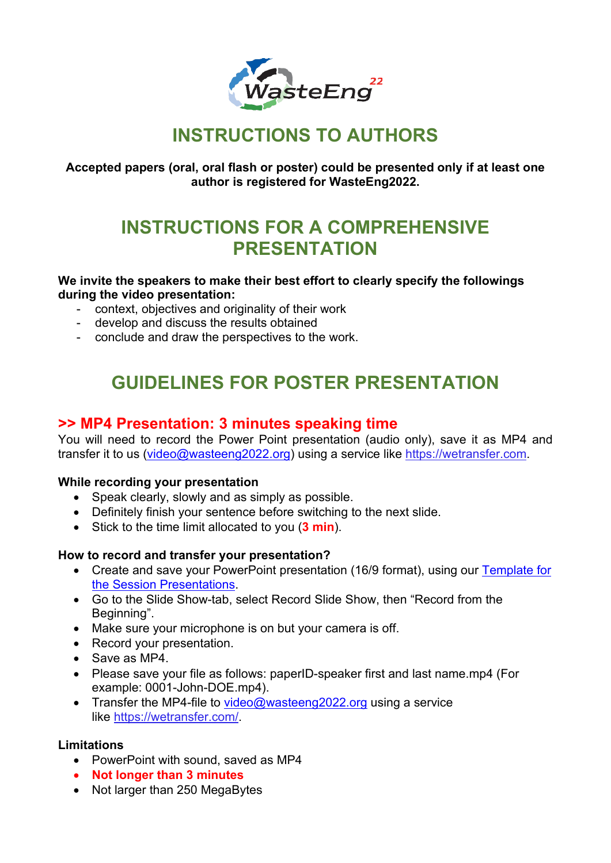

# **INSTRUCTIONS TO AUTHORS**

**Accepted papers (oral, oral flash or poster) could be presented only if at least one author is registered for WasteEng2022.** 

# **INSTRUCTIONS FOR A COMPREHENSIVE PRESENTATION**

#### **We invite the speakers to make their best effort to clearly specify the followings during the video presentation:**

- context, objectives and originality of their work
- develop and discuss the results obtained
- conclude and draw the perspectives to the work.

# **GUIDELINES FOR POSTER PRESENTATION**

### **>> MP4 Presentation: 3 minutes speaking time**

You will need to record the Power Point presentation (audio only), save it as MP4 and transfer it to us [\(video@wasteeng2022.org\)](mailto:video@wasteeng2022.org) using a service like [https://wetransfer.com.](https://wetransfer.com/)

#### **While recording your presentation**

- Speak clearly, slowly and as simply as possible.
- Definitely finish your sentence before switching to the next slide.
- Stick to the time limit allocated to you (**3 min**).

#### **How to record and transfer your presentation?**

- Create and save your PowerPoint presentation (16/9 format), using our [Template](https://wasteeng2022.org/wp-content/uploads/template-1st-slide.pptx) for [the Session Presentations.](https://wasteeng2022.org/wp-content/uploads/template-1st-slide.pptx)
- Go to the Slide Show-tab, select Record Slide Show, then "Record from the Beginning".
- Make sure your microphone is on but your camera is off.
- Record your presentation.
- Save as MP4
- Please save your file as follows: paperID-speaker first and last name.mp4 (For example: 0001-John-DOE.mp4).
- Transfer the MP4-file to [video@wasteeng2022.org](mailto:video@wasteeng2022.org) using a service like [https://wetransfer.com/.](https://wetransfer.com/)

#### **Limitations**

- PowerPoint with sound, saved as MP4
- **Not longer than 3 minutes**
- Not larger than 250 MegaBytes